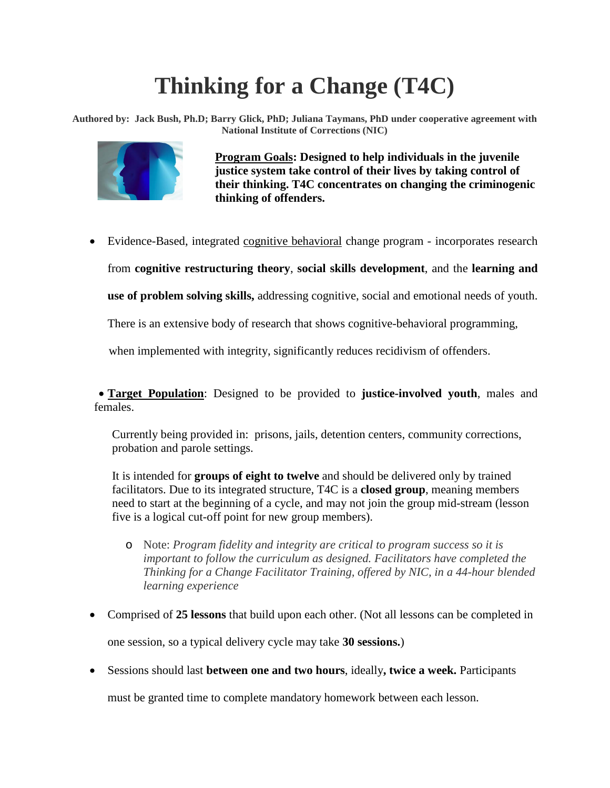# **Thinking for a Change (T4C)**

**Authored by: Jack Bush, Ph.D; Barry Glick, PhD; Juliana Taymans, PhD under cooperative agreement with National Institute of Corrections (NIC)**



**Program Goals: Designed to help individuals in the juvenile justice system take control of their lives by taking control of their thinking. T4C concentrates on changing the criminogenic thinking of offenders.**

• Evidence-Based, integrated cognitive behavioral change program - incorporates research

from **cognitive restructuring theory**, **social skills development**, and the **learning and** 

**use of problem solving skills,** addressing cognitive, social and emotional needs of youth.

There is an extensive body of research that shows cognitive-behavioral programming,

when implemented with integrity, significantly reduces recidivism of offenders.

• **Target Population**: Designed to be provided to **justice-involved youth**, males and females.

Currently being provided in: prisons, jails, detention centers, community corrections, probation and parole settings.

It is intended for **groups of eight to twelve** and should be delivered only by trained facilitators. Due to its integrated structure, T4C is a **closed group**, meaning members need to start at the beginning of a cycle, and may not join the group mid-stream (lesson five is a logical cut-off point for new group members).

- o Note: *Program fidelity and integrity are critical to program success so it is important to follow the curriculum as designed. Facilitators have completed the Thinking for a Change Facilitator Training, offered by NIC, in a 44-hour blended learning experience*
- Comprised of **25 lessons** that build upon each other. (Not all lessons can be completed in one session, so a typical delivery cycle may take **30 sessions.**)
- Sessions should last **between one and two hours**, ideally**, twice a week.** Participants

must be granted time to complete mandatory homework between each lesson.